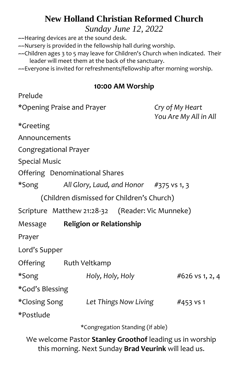# **New Holland Christian Reformed Church**

*Sunday June 12, 2022*

~~Hearing devices are at the sound desk.

~~Nursery is provided in the fellowship hall during worship.

- ~~Children ages 3 to 5 may leave for Children's Church when indicated. Their leader will meet them at the back of the sanctuary.
- ~~Everyone is invited for refreshments/fellowship after morning worship.

#### **10:00 AM Worship**

| Prelude                    |                                                  |                                          |
|----------------------------|--------------------------------------------------|------------------------------------------|
| *Opening Praise and Prayer |                                                  | Cry of My Heart<br>You Are My All in All |
| *Greeting                  |                                                  |                                          |
| Announcements              |                                                  |                                          |
| Congregational Prayer      |                                                  |                                          |
| <b>Special Music</b>       |                                                  |                                          |
|                            | Offering Denominational Shares                   |                                          |
| *Song                      | All Glory, Laud, and Honor #375 vs 1, 3          |                                          |
|                            | (Children dismissed for Children's Church)       |                                          |
|                            | Scripture Matthew 21:28-32 (Reader: Vic Munneke) |                                          |
| Message                    | <b>Religion or Relationship</b>                  |                                          |
| Prayer                     |                                                  |                                          |
| Lord's Supper              |                                                  |                                          |
|                            | Offering Ruth Veltkamp                           |                                          |
| *Song                      | Holy, Holy, Holy                                 | #626 vs 1, 2, 4                          |
| *God's Blessing            |                                                  |                                          |
| *Closing Song              | Let Things Now Living                            | #453 vs 1                                |
| *Postlude                  |                                                  |                                          |
|                            | *Congregation Standing (if able)                 |                                          |

We welcome Pastor **Stanley Groothof** leading us in worship this morning. Next Sunday **Brad Veurink** will lead us.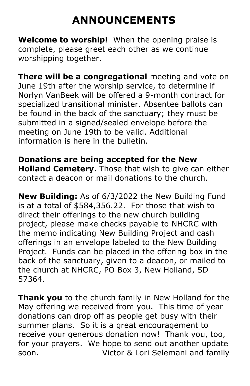# **ANNOUNCEMENTS**

**Welcome to worship!** When the opening praise is complete, please greet each other as we continue worshipping together.

**There will be a congregational** meeting and vote on June 19th after the worship service, to determine if Norlyn VanBeek will be offered a 9-month contract for specialized transitional minister. Absentee ballots can be found in the back of the sanctuary; they must be submitted in a signed/sealed envelope before the meeting on June 19th to be valid. Additional information is here in the bulletin.

**Donations are being accepted for the New Holland Cemetery**. Those that wish to give can either contact a deacon or mail donations to the church.

**New Building:** As of 6/3/2022 the New Building Fund is at a total of \$584,356.22. For those that wish to direct their offerings to the new church building project, please make checks payable to NHCRC with the memo indicating New Building Project and cash offerings in an envelope labeled to the New Building Project.Funds can be placed in the offering box in the back of the sanctuary, given to a deacon, or mailed to the church at NHCRC, PO Box 3, New Holland, SD 57364.

**Thank you** to the church family in New Holland for the May offering we received from you. This time of year donations can drop off as people get busy with their summer plans. So it is a great encouragement to receive your generous donation now! Thank you, too, for your prayers. We hope to send out another update soon. Victor & Lori Selemani and family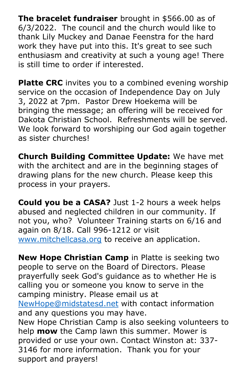**The bracelet fundraiser** brought in \$566.00 as of 6/3/2022. The council and the church would like to thank Lily Muckey and Danae Feenstra for the hard work they have put into this. It's great to see such enthusiasm and creativity at such a young age! There is still time to order if interested.

**Platte CRC** invites you to a combined evening worship service on the occasion of Independence Day on July 3, 2022 at 7pm. Pastor Drew Hoekema will be bringing the message; an offering will be received for Dakota Christian School. Refreshments will be served. We look forward to worshiping our God again together as sister churches!

**Church Building Committee Update:** We have met with the architect and are in the beginning stages of drawing plans for the new church. Please keep this process in your prayers.

**Could you be a CASA?** Just 1-2 hours a week helps abused and neglected children in our community. If not you, who? Volunteer Training starts on 6/16 and again on 8/18. Call 996-1212 or visit [www.mitchellcasa.org](http://www.mitchellcasa.org/) to receive an application.

**New Hope Christian Camp** in Platte is seeking two people to serve on the Board of Directors. Please prayerfully seek God's guidance as to whether He is calling you or someone you know to serve in the camping ministry. Please email us at [NewHope@midstatesd.net](mailto:NewHope@midstatesd.net) with contact information and any questions you may have. New Hope Christian Camp is also seeking volunteers to help **mow** the Camp lawn this summer. Mower is provided or use your own. Contact Winston at: 337- 3146 for more information. Thank you for your support and prayers!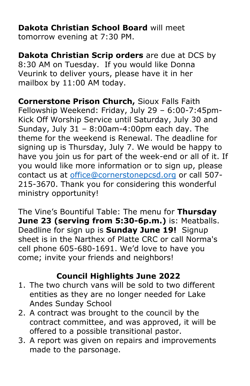**Dakota Christian School Board** will meet tomorrow evening at 7:30 PM.

**Dakota Christian Scrip orders** are due at DCS by 8:30 AM on Tuesday. If you would like Donna Veurink to deliver yours, please have it in her mailbox by 11:00 AM today.

**Cornerstone Prison Church,** Sioux Falls Faith Fellowship Weekend: Friday, July 29 – 6:00-7:45pm-Kick Off Worship Service until Saturday, July 30 and Sunday, July 31 – 8:00am-4:00pm each day. The theme for the weekend is Renewal. The deadline for signing up is Thursday, July 7. We would be happy to have you join us for part of the week-end or all of it. If you would like more information or to sign up, please contact us at [office@cornerstonepcsd.org](mailto:office@cornerstonepcsd.org) or call 507- 215-3670. Thank you for considering this wonderful ministry opportunity!

The Vine's Bountiful Table: The menu for **Thursday June 23 (serving from 5:30-6p.m.)** is: Meatballs. Deadline for sign up is **Sunday June 19!** Signup sheet is in the Narthex of Platte CRC or call Norma's cell phone 605-680-1691. We'd love to have you come; invite your friends and neighbors!

## **Council Highlights June 2022**

- 1. The two church vans will be sold to two different entities as they are no longer needed for Lake Andes Sunday School
- 2. A contract was brought to the council by the contract committee, and was approved, it will be offered to a possible transitional pastor.
- 3. A report was given on repairs and improvements made to the parsonage.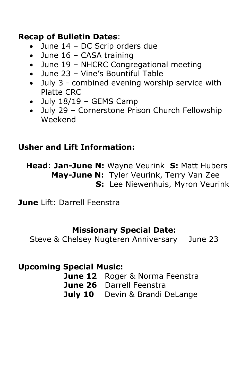### **Recap of Bulletin Dates**:

- June 14 DC Scrip orders due
- June 16 CASA training
- June 19 NHCRC Congregational meeting
- June 23 Vine's Bountiful Table
- July 3 combined evening worship service with Platte CRC
- July 18/19 GEMS Camp
- July 29 Cornerstone Prison Church Fellowship Weekend

# **Usher and Lift Information:**

 **Head**: **Jan-June N:** Wayne Veurink **S:** Matt Hubers  **May-June N:** Tyler Veurink, Terry Van Zee **S:** Lee Niewenhuis, Myron Veurink

**June** Lift: Darrell Feenstra

### **Missionary Special Date:**

Steve & Chelsey Nugteren Anniversary June 23

## **Upcoming Special Music:**

**June 12** Roger & Norma Feenstra **June 26** Darrell Feenstra **July 10** Devin & Brandi DeLange